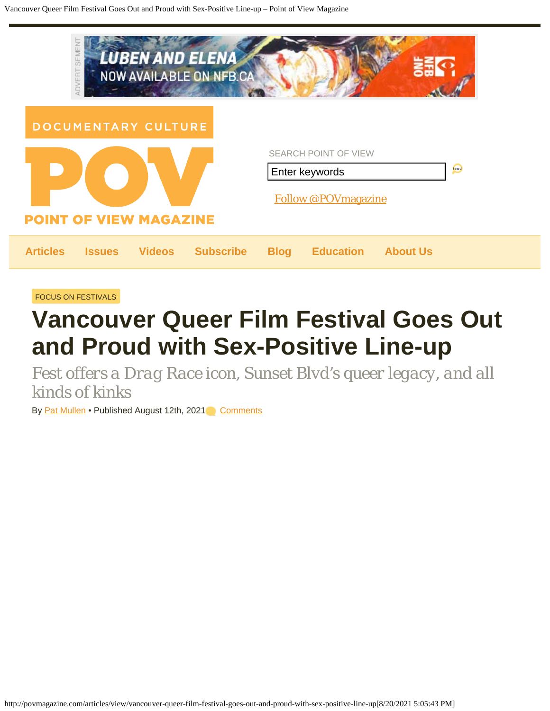| ADVERTISEMENT<br><b>LUBEN AND ELENA</b><br><b>NOW AVAILABLE ON NFB.CA</b> |                                                                                       |
|---------------------------------------------------------------------------|---------------------------------------------------------------------------------------|
| DOCUMENTARY CULTURE<br><b>POINT OF VIEW MAGAZINE</b>                      | <b>SEARCH POINT OF VIEW</b><br>Search<br>Enter keywords<br><b>Follow @POVmagazine</b> |
| <b>Subscribe</b><br><b>Articles</b><br><b>Videos</b><br><b>Issues</b>     | <b>Education</b><br><b>About Us</b><br><b>Blog</b>                                    |

[FOCUS ON FESTIVALS](http://povmagazine.com/articles/c/focus-on-festivals)

## **Vancouver Queer Film Festival Goes Out and Proud with Sex-Positive Line-up**

*Fest offers a Drag Race icon, Sunset Blvd's queer legacy, and all kinds of kinks*

By [Pat Mullen](http://povmagazine.com/articles/author/pat-mullen) • Published August 12th, 2021 [Comments](#page--1-0)